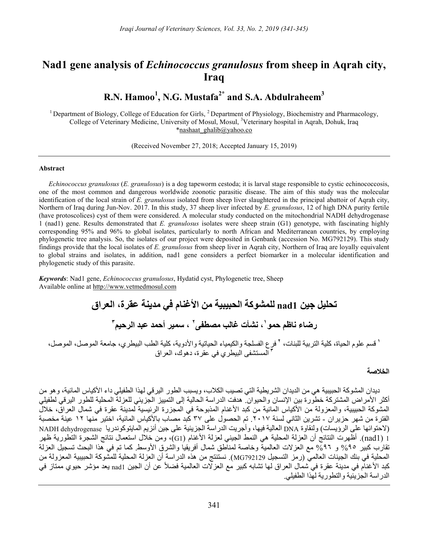# Nad1 gene analysis of Echinococcus granulosus from sheep in Aqrah city, Iraq

# R.N. Hamoo<sup>1</sup>, N.G. Mustafa<sup>2\*</sup> and S.A. Abdulraheem<sup>3</sup>

<sup>1</sup> Department of Biology, College of Education for Girls,  $^{2}$  Department of Physiology, Biochemistry and Pharmacology, College of Veterinary Medicine, University of Mosul, Mosul, <sup>3</sup>Veterinary hospital in Aqrah, Dohuk, Iraq \*nashaat\_ghalib@yahoo.co

(Received November 27, 2018; Accepted January 15, 2019)

#### Abstract

Echinococcus granulosus (E. granulosus) is a dog tapeworm cestoda; it is larval stage responsible to cystic echinococcosis, one of the most common and dangerous worldwide zoonotic parasitic disease. The aim of this study was the molecular identification of the local strain of E. granulosus isolated from sheep liver slaughtered in the principal abattoir of Aqrah city, Northern of Iraq during Jun-Nov. 2017. In this study, 37 sheep liver infected by E. granulosus, 12 of high DNA purity fertile (have protoscolices) cyst of them were considered. A molecular study conducted on the mitochondrial NADH dehydrogenase 1 (nad1) gene. Results demonstrated that E. granulosus isolates were sheep strain (G1) genotype, with fascinating highly corresponding 95% and 96% to global isolates, particularly to north African and Mediterranean countries, by employing phylogenetic tree analysis. So, the isolates of our project were deposited in Genbank (accession No. MG792129). This study findings provide that the local isolates of E. granulosus from sheep liver in Aqrah city, Northern of Iraq are loyally equivalent to global strains and isolates, in addition, nad1 gene considers a perfect biomarker in a molecular identification and phylogenetic study of this parasite.

Keywords: Nad1 gene, Echinococcus granulosus, Hydatid cyst, Phylogenetic tree, Sheep Available online at http://www.vetmedmosul.com

> تحليل جين 1nad للمشوكة الحبيبية من الأغنام في مدينة عقرة، العراق رضاء ناظم حمو ٰ، نشأت غالب مصطفى ٰ ، سمير أحمد عبد الرحيم ّ

.<br>ا قسم علوم الحياة، كلية التربية للبنات، ' فرع الفسلجة والكيمياء الحياتية والأدوية، كلية الطب البيطري، جامعة الموصل، الموصل،<br>'' المستشفى البيطري في عقرة، دهوك، العراق

## الخلاصة

ديدان المشوكة الحبيبية هي من الديدان الشريطية التي تصيب الكلاب، ويسبب الطور اليرقي لهذا الطفيلي داء الأكياس المائية، وهو من أكثر الأمراض المشتركة خطورة بين الإنسان والحيوان. هدفت الدراسة الحالية إلى التمييز الجزيئي للعزلة المحلية للطور اليرقي لطفيلي المشوكة الحبيبية، والمعزولة من الأكياس المائية من كبد الأغنام المذبوحة في المجزرة الرئيسية لمدينة عقرة في شمال العراق، خلال الفترة من شهر حزيران - تشرين الثاني لسنة .٢٠١٧ تم الحصول على ٣٧ كبد مصاب بالأكياس المائية، اختير منها ١٢ عينة مخصبة (لاحتوائها على الرؤيسات) ولنقاوة DNA العالية فيها، وأجريت الدراسة الجزيئية على جين أنزيم المايتوكوندريا dehydrogenase NADH 1 (1nad(. أظهرت النتائج أن العزلة المحلية هي النمط الجيني لعزلة الأغنام (1G(، ومن خلال استعمال نتائج الشجرة التطورية ظهر تقارب كبير %0% و ٩٦% مع العزلات العالمية وخاصة لمناطق شمال أفريقيا والشرق الأوسط. كما تم في هذا البحث تسجيل العزلة المحلية في بنك الجينات العالمي (رمز التسجيل 792129MG(. نستنتج من هذه الدراسة أن العزلة المحلية للمشوكة الحبيبية المعزولة من كبد الأغنام في مدينة عقرة في شمال العراق لها تشابه كبير مع العزلات العالمية فضلاً عن أن الجين 1nad يعد مؤشر حيوي ممتاز في الدراسة الجزيئية والتطورية لهذا الطفيلي.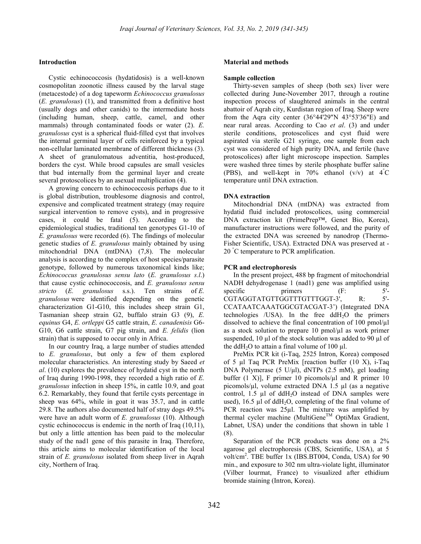## Introduction

Cystic echinococcosis (hydatidosis) is a well-known cosmopolitan zoonotic illness caused by the larval stage (metacestode) of a dog tapeworm Echinococcus granulosus (E. granulosus) (1), and transmitted from a definitive host (usually dogs and other canids) to the intermediate hosts (including human, sheep, cattle, camel, and other mammals) through contaminated foods or water (2). E. granulosus cyst is a spherical fluid-filled cyst that involves the internal germinal layer of cells reinforced by a typical non-cellular laminated membrane of different thickness (3). A sheet of granulomatous adventitia, host-produced, borders the cyst. While brood capsules are small vesicles that bud internally from the germinal layer and create several protoscolices by an asexual multiplication (4).

A growing concern to echinococcosis perhaps due to it is global distribution, troublesome diagnosis and control, expensive and complicated treatment strategy (may require surgical intervention to remove cysts), and in progressive cases, it could be fatal (5). According to the epidemiological studies, traditional ten genotypes G1-10 of E. granulosus were recorded (6). The findings of molecular genetic studies of E. granulosus mainly obtained by using mitochondrial DNA (mtDNA) (7,8). The molecular analysis is according to the complex of host species/parasite genotype, followed by numerous taxonomical kinds like; Echinococcus granulosus sensu lato (E. granulosus s.l.) that cause cystic echinococcosis, and  $E$ . granulosus sensu stricto (E. granulosus s.s.). Ten strains of E. granulosus were identified depending on the genetic characterization G1-G10, this includes sheep strain G1, Tasmanian sheep strain G2, buffalo strain G3 (9), E. equinus G4, E. ortleppi G5 cattle strain, E. canadenisis G6- G10, G6 cattle strain, G7 pig strain, and E. felidis (lion strain) that is supposed to occur only in Africa.

In our country Iraq, a large number of studies attended to E. granulosus, but only a few of them explored molecular characteristics. An interesting study by Saeed et al. (10) explores the prevalence of hydatid cyst in the north of Iraq during 1990-1998, they recorded a high ratio of E. granulosus infection in sheep 15%, in cattle 10.9, and goat 6.2. Remarkably, they found that fertile cysts percentage in sheep was 64%, while in goat it was 35.7, and in cattle 29.8. The authors also documented half of stray dogs 49.5% were have an adult worm of E. granulosus (10). Although cystic echinococcus is endemic in the north of Iraq (10,11), but only a little attention has been paid to the molecular study of the nad1 gene of this parasite in Iraq. Therefore, this article aims to molecular identification of the local strain of E. granulosus isolated from sheep liver in Aqrah city, Northern of Iraq.

## Material and methods

#### Sample collection

Thirty-seven samples of sheep (both sex) liver were collected during June-November 2017, through a routine inspection process of slaughtered animals in the central abattoir of Aqrah city, Kurdistan region of Iraq. Sheep were from the Aqra city center  $(36°44'29"N 43°53'36"E)$  and near rural areas. According to Cao et al. (3) and under sterile conditions, protoscolices and cyst fluid were aspirated via sterile G21 syringe, one sample from each cyst was considered of high purity DNA, and fertile (have protoscolices) after light microscope inspection. Samples were washed three times by sterile phosphate buffer saline (PBS), and well-kept in 70% ethanol  $(v/v)$  at  $4\degree$ C temperature until DNA extraction.

## DNA extraction

Mitochondrial DNA (mtDNA) was extracted from hydatid fluid included protoscolices, using commercial DNA extraction kit (PrimePrep™, Genet Bio, Korea), manufacturer instructions were followed, and the purity of the extracted DNA was screened by nanodrop (Thermo-Fisher Scientific, USA). Extracted DNA was preserved at - 20 °C temperature to PCR amplification.

#### PCR and electrophoresis

In the present project, 488 bp fragment of mitochondrial NADH dehydrogenase 1 (nad1) gene was amplified using specific primers (F: 5'-CGTAGGTATGTTGGTTTGTTTGGT-3', R: 5'-CCATAATCAAATGGCGTACGAT-3') (Integrated DNA technologies /USA). In the free  $ddH_2O$  the primers dissolved to achieve the final concentration of 100 pmol/µl as a stock solution to prepare  $10$  pmol/ $\mu$ l as work primer suspended, 10 µl of the stock solution was added to 90 µl of the ddH<sub>2</sub>O to attain a final volume of 100  $\mu$ l.

PreMix PCR kit (i-Taq, 2525 Intron, Korea) composed of 5 µl Taq PCR PreMix [reaction buffer (10 X), i-Taq DNA Polymerase (5 U/μl), dNTPs (2.5 mM), gel loading buffer  $(1 \text{ X})$ , F primer 10 picomols/ $\mu$ l and R primer 10 picomols/ $\mu$ l, volume extracted DNA 1.5  $\mu$ l (as a negative control, 1.5  $\mu$ l of ddH<sub>2</sub>O instead of DNA samples were used), 16.5  $\mu$ l of ddH<sub>2</sub>O, completing of the final volume of PCR reaction was  $25\mu$ . The mixture was amplified by thermal cycler machine (MultiGeneTM OptiMax Gradient, Labnet, USA) under the conditions that shown in table 1 (8).

Separation of the PCR products was done on a 2% agarose gel electrophoresis (CBS, Scientific, USA), at 5 volt/cm<sup>2</sup>. TBE buffer 1x (IBS.BT004, Conda, USA) for 90 min., and exposure to 302 nm ultra-violate light, illuminator (Vilber lourmat, France) to visualized after ethidium bromide staining (Intron, Korea).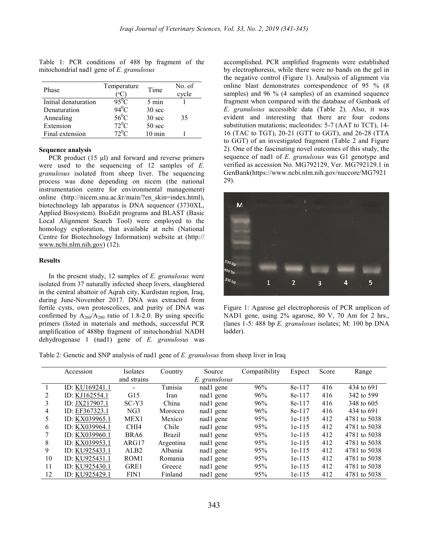| Phase                | Temperature<br>°C | Time             | No. of<br>cycle |
|----------------------|-------------------|------------------|-----------------|
| Initial denaturation | $95^0C$           | $5 \text{ min}$  |                 |
| Denaturation         | $94^0$ C          | $30 \text{ sec}$ |                 |
| Annealing            | $56^0$ C          | $30 \text{ sec}$ | 35              |
| Extension            | $72^0C$           | $50 \text{ sec}$ |                 |
| Final extension      | $72^0C$           | $10 \text{ min}$ |                 |

Table 1: PCR conditions of 488 bp fragment of the mitochondrial nad1 gene of E. granulosus

### Sequence analysis

PCR product (15 µl) and forward and reverse primers were used to the sequencing of 12 samples of E. granulosus isolated from sheep liver. The sequencing process was done depending on nicem (the national instrumentation centre for environmental management) online (http://nicem.snu.ac.kr/main/?en\_skin=index.html), biotechnology lab apparatus is DNA sequencer (3730XL, Applied Biosystem). BioEdit programs and BLAST (Basic Local Alignment Search Tool) were employed to the homology exploration, that available at ncbi (National Centre for Biotechnology Information) website at (http:// www.ncbi.nlm.nih.gov) (12).

## Results

In the present study, 12 samples of E. granulosus were isolated from 37 naturally infected sheep livers, slaughtered in the central abattoir of Aqrah city, Kurdistan region, Iraq, during June-November 2017. DNA was extracted from fertile cysts, own protoscolices, and purity of DNA was confirmed by  $A_{260}/A_{280}$  ratio of 1.8-2.0. By using specific primers (listed in materials and methods, successful PCR amplification of 488bp fragment of mitochondrial NADH dehydrogenase  $1$  (nad1) gene of  $E$ . granulosus was

accomplished. PCR amplified fragments were established by electrophoresis, while there were no bands on the gel in the negative control (Figure 1). Analysis of alignment via online blast demonstrates correspondence of 95 % (8 samples) and 96 % (4 samples) of an examined sequence fragment when compared with the database of Genbank of E. granulosus accessible data (Table 2). Also, it was evident and interesting that there are four codons substitution mutations; nucleotides: 5-7 (AAT to TCT), 14- 16 (TAC to TGT), 20-21 (GTT to GGT), and 26-28 (TTA to GGT) of an investigated fragment (Table 2 and Figure 2). One of the fascinating novel outcomes of this study, the sequence of nad1 of E. granulosus was G1 genotype and verified as accession No. MG792129, Ver. MG792129.1 in GenBank(https://www.ncbi.nlm.nih.gov/nuccore/MG7921 29).



Figure 1: Agarose gel electrophoresis of PCR amplicon of NAD1 gene, using 2% agarose, 80 V, 70 Am for 2 hrs., (lanes 1-5: 488 bp E. granulosus isolates; M: 100 bp DNA ladder).

Table 2: Genetic and SNP analysis of nad1 gene of E. granulosus from sheep liver in Iraq

|                | Accession      | <b>Isolates</b>  | Country   | Source        | Compatibility | Expect   | Score | Range        |
|----------------|----------------|------------------|-----------|---------------|---------------|----------|-------|--------------|
|                |                | and strains      |           | E. granulosus |               |          |       |              |
|                | ID: KU169241.1 |                  | Tunisia   | nad1 gene     | 96%           | 8e-117   | 416   | 434 to 691   |
| $\mathfrak{D}$ | ID: KJ162554.1 | G15              | Iran      | nad1 gene     | 96%           | 8e-117   | 416   | 342 to 599   |
| 3              | ID: JX217907.1 | $SC-Y3$          | China     | nad1 gene     | 96%           | 8e-117   | 416   | 348 to 605   |
| 4              | ID: EF367323.1 | NG3              | Morocco   | nad1 gene     | 96%           | 8e-117   | 416   | 434 to 691   |
| 5              | ID: KX039965.1 | MEX1             | Mexico    | nad1 gene     | 95%           | $1e-115$ | 412   | 4781 to 5038 |
| 6              | ID: KX039964.1 | CHI <sub>4</sub> | Chile     | nad1 gene     | 95%           | $1e-115$ | 412   | 4781 to 5038 |
|                | ID: KX039960.1 | BRA6             | Brazil    | nad1 gene     | 95%           | $1e-115$ | 412   | 4781 to 5038 |
| 8              | ID: KX039953.1 | ARG17            | Argentina | nad1 gene     | 95%           | $1e-115$ | 412   | 4781 to 5038 |
| 9              | ID: KU925433.1 | ALB <sub>2</sub> | Albania   | nad1 gene     | 95%           | $1e-115$ | 412   | 4781 to 5038 |
| 10             | ID: KU925431.1 | ROM <sub>1</sub> | Romania   | nad1 gene     | 95%           | $1e-115$ | 412   | 4781 to 5038 |
| 11             | ID: KU925430.1 | GRE1             | Greece    | nad1 gene     | 95%           | $1e-115$ | 412   | 4781 to 5038 |
| 12             | ID: KU925429.1 | FIN1             | Finland   | nad1 gene     | 95%           | $1e-115$ | 412   | 4781 to 5038 |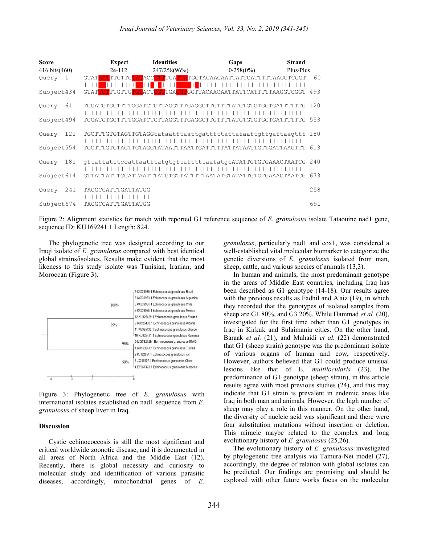| <b>Score</b>  | <b>Expect</b>              | <b>Identities</b> | Gaps                                                             | <b>Strand</b> |
|---------------|----------------------------|-------------------|------------------------------------------------------------------|---------------|
| 416 bits(460) | $2e-112$                   | 247/258(96%)      | $0/258(0\%)$                                                     | Plus/Plus     |
| Query<br>-1   | - <b>1</b> 1 1 1 1 1 1 1 1 | - 11 11 11 11 11  | GTATAATTTGTTGTACACCGTTTGATTATGGTACAACAATTATTCATTTTTAAGGTCGGT     | 60            |
| Subject434    |                            |                   | GTATTCTTTGTTGTGTACTGGTTGAGGTGGTTACAACAATTATTCATTTTTAAGGTCGGT 493 |               |
| 61<br>Query   |                            |                   |                                                                  |               |
| Subject494    |                            |                   |                                                                  | 553           |
| 121<br>Query  |                            |                   | TGCTTTGTGTAGTTGTAGGtataatttaattqatttttattataattqttqattaaqttt     | 180           |
| Subject554    |                            |                   |                                                                  | 613           |
| 181<br>Query  |                            |                   | gttattatttccattaatttatgtgttatttttaatatgtATATTGTGTGAAACTAATCG 240 |               |
| Subject614    |                            |                   | GTTATTATTTCCATTAATTTATGTGTTATTTTTAATATGTATATTGTGTGAAACTAATCG     | 673           |
| 241<br>Query  | TACGCCATTTGATTATGG         |                   |                                                                  | 258           |
| Subject674    | TACGCCATTTGATTATGG         |                   |                                                                  | 691           |

Figure 2: Alignment statistics for match with reported G1 reference sequence of E. granulosus isolate Tataouine nad1 gene, sequence ID: KU169241.1 Length: 824.

The phylogenetic tree was designed according to our Iraqi isolate of E. granulosus compared with best identical global strains/isolates. Results make evident that the most likeness to this study isolate was Tunisian, Iranian, and Moroccan (Figure 3).



Figure 3: Phylogenetic tree of E. granulosus with international isolates established on nad1 sequence from E. granulosus of sheep liver in Iraq.

#### **Discussion**

Cystic echinococcosis is still the most significant and critical worldwide zoonotic disease, and it is documented in all areas of North Africa and the Middle East (12). Recently, there is global necessity and curiosity to molecular study and identification of various parasitic diseases, accordingly, mitochondrial genes of E. granulosus, particularly nad1 and cox1, was considered a well-established vital molecular biomarker to categorize the genetic diversions of E. granulosus isolated from man, sheep, cattle, and various species of animals (13,3).

In human and animals, the most predominant genotype in the areas of Middle East countries, including Iraq has been described as G1 genotype (14-18). Our results agree with the previous results as Fadhil and A'aiz (19), in which they recorded that the genotypes of isolated samples from sheep are G1 80%, and G3 20%. While Hammad et al. (20), investigated for the first time other than G1 genotypes in Iraq in Kirkuk and Sulaimania cities. On the other hand, Baraak et al. (21), and Muhaidi et al. (22) demonstrated that G1 (sheep strain) genotype was the predominant isolate of various organs of human and cow, respectively. However, authors believed that G1 could produce unusual lesions like that of E. multilocularis (23). The predominance of G1 genotype (sheep strain), in this article results agree with most previous studies (24), and this may indicate that G1 strain is prevalent in endemic areas like Iraq in both man and animals. However, the high number of sheep may play a role in this manner. On the other hand, the diversity of nucleic acid was significant and there were four substitution mutations without insertion or deletion. This miracle maybe related to the complex and long evolutionary history of E. granulosus (25,26).

The evolutionary history of E. granulosus investigated by phylogenetic tree analysis via Tamura-Nei model (27), accordingly, the degree of relation with global isolates can be predicted. Our findings are promising and should be explored with other future works focus on the molecular